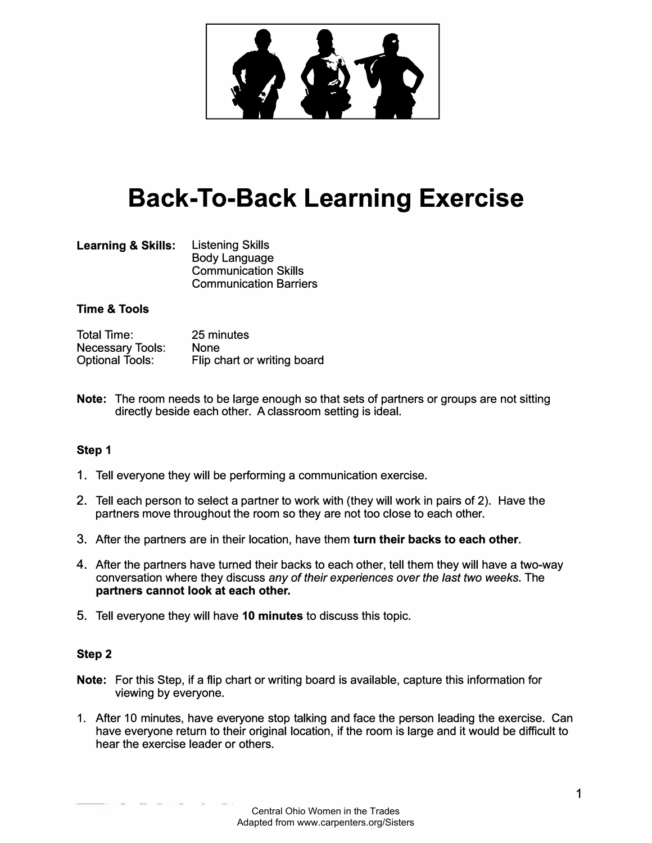

# **Back-To-Back Learning Exercise**

| <b>Learning &amp; Skills:</b> | <b>Listening Skills</b>       |
|-------------------------------|-------------------------------|
|                               | <b>Body Language</b>          |
|                               | <b>Communication Skills</b>   |
|                               | <b>Communication Barriers</b> |

# **Time & Tools**

| Total Time:             | 25 minutes                  |
|-------------------------|-----------------------------|
| <b>Necessary Tools:</b> | <b>None</b>                 |
| <b>Optional Tools:</b>  | Flip chart or writing board |

**Note:** The room needs to be large enough so that sets of partners or groups are not sitting directly beside each other. A classroom setting is ideal.

#### **Step 1**

- 1 . Tell everyone they will be performing a communication exercise.
- 2. Tell each person to select a partner to work with (they will work in pairs of 2). Have the partners move throughout the room so they are not too close to each other.
- 3. After the partners are in their location, have them **turn their backs to each other.**
- 4. After the partners have turned their backs to each other, tell them they will have a two-way conversation where they discuss *any of their experiences over the last two weeks.* The **partners cannot look at each other.**
- 5. Tell everyone they will have **10 minutes** to discuss this topic.

#### **Step 2**

- **Note:** For this Step, if a flip chart or writing board is available, capture this information for viewing by everyone.
- 1. After 10 minutes, have everyone stop talking and face the person leading the exercise. Can have everyone return to their original location, if the room is large and it would be difficult to hear the exercise leader or others.